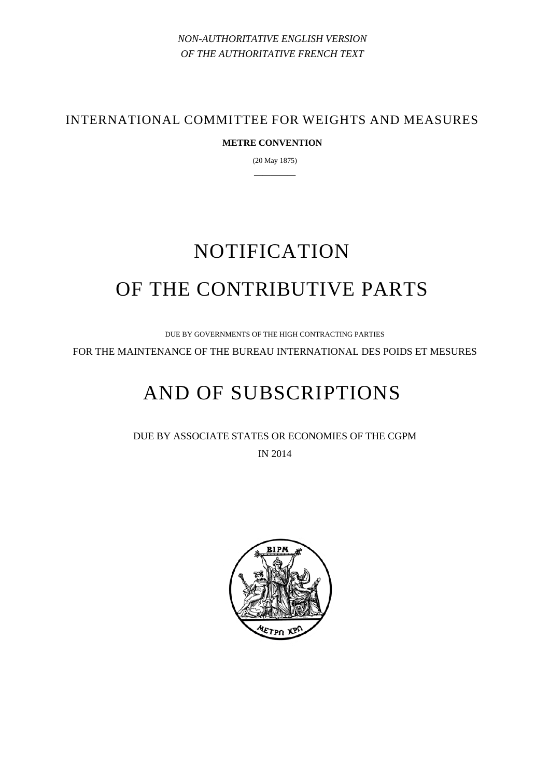*NON-AUTHORITATIVE ENGLISH VERSION OF THE AUTHORITATIVE FRENCH TEXT* 

INTERNATIONAL COMMITTEE FOR WEIGHTS AND MEASURES

# **METRE CONVENTION**

(20 May 1875) —————

# NOTIFICATION OF THE CONTRIBUTIVE PARTS

DUE BY GOVERNMENTS OF THE HIGH CONTRACTING PARTIES

FOR THE MAINTENANCE OF THE BUREAU INTERNATIONAL DES POIDS ET MESURES

# AND OF SUBSCRIPTIONS

DUE BY ASSOCIATE STATES OR ECONOMIES OF THE CGPM IN 2014

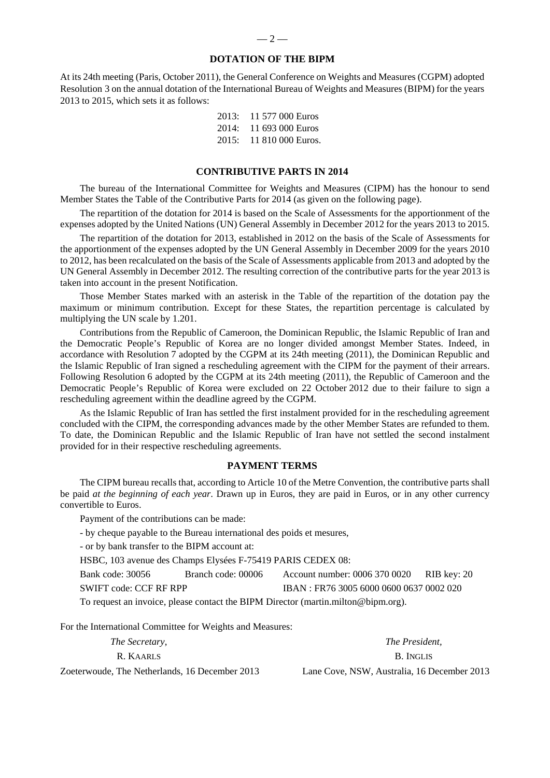#### **DOTATION OF THE BIPM**

At its 24th meeting (Paris, October 2011), the General Conference on Weights and Measures (CGPM) adopted Resolution 3 on the annual dotation of the International Bureau of Weights and Measures (BIPM) for the years 2013 to 2015, which sets it as follows:

|  | 2013: 11 577 000 Euros         |
|--|--------------------------------|
|  | $2014: 11693000 \text{ Euros}$ |
|  | $2015: 11810000$ Euros.        |

#### **CONTRIBUTIVE PARTS IN 2014**

The bureau of the International Committee for Weights and Measures (CIPM) has the honour to send Member States the Table of the Contributive Parts for 2014 (as given on the following page).

The repartition of the dotation for 2014 is based on the Scale of Assessments for the apportionment of the expenses adopted by the United Nations (UN) General Assembly in December 2012 for the years 2013 to 2015.

The repartition of the dotation for 2013, established in 2012 on the basis of the Scale of Assessments for the apportionment of the expenses adopted by the UN General Assembly in December 2009 for the years 2010 to 2012, has been recalculated on the basis of the Scale of Assessments applicable from 2013 and adopted by the UN General Assembly in December 2012. The resulting correction of the contributive parts for the year 2013 is taken into account in the present Notification.

Those Member States marked with an asterisk in the Table of the repartition of the dotation pay the maximum or minimum contribution. Except for these States, the repartition percentage is calculated by multiplying the UN scale by 1.201.

Contributions from the Republic of Cameroon, the Dominican Republic, the Islamic Republic of Iran and the Democratic People's Republic of Korea are no longer divided amongst Member States. Indeed, in accordance with Resolution 7 adopted by the CGPM at its 24th meeting (2011), the Dominican Republic and the Islamic Republic of Iran signed a rescheduling agreement with the CIPM for the payment of their arrears. Following Resolution 6 adopted by the CGPM at its 24th meeting (2011), the Republic of Cameroon and the Democratic People's Republic of Korea were excluded on 22 October 2012 due to their failure to sign a rescheduling agreement within the deadline agreed by the CGPM.

As the Islamic Republic of Iran has settled the first instalment provided for in the rescheduling agreement concluded with the CIPM, the corresponding advances made by the other Member States are refunded to them. To date, the Dominican Republic and the Islamic Republic of Iran have not settled the second instalment provided for in their respective rescheduling agreements.

#### **PAYMENT TERMS**

The CIPM bureau recalls that, according to Article 10 of the Metre Convention, the contributive parts shall be paid *at the beginning of each year*. Drawn up in Euros, they are paid in Euros, or in any other currency convertible to Euros.

Payment of the contributions can be made:

- by cheque payable to the Bureau international des poids et mesures,

- or by bank transfer to the BIPM account at:

HSBC, 103 avenue des Champs Elysées F-75419 PARIS CEDEX 08:

Bank code: 30056 Branch code: 00006 Account number: 0006 370 0020 RIB key: 20 SWIFT code: CCF RF RPP IBAN : FR76 3005 6000 0600 0637 0002 020

To request an invoice, please contact the BIPM Director (martin.milton@bipm.org).

For the International Committee for Weights and Measures:

*The Secretary*, *The President,*  R. KAARLS B. INGLIS Zoeterwoude, The Netherlands, 16 December 2013 Lane Cove, NSW, Australia, 16 December 2013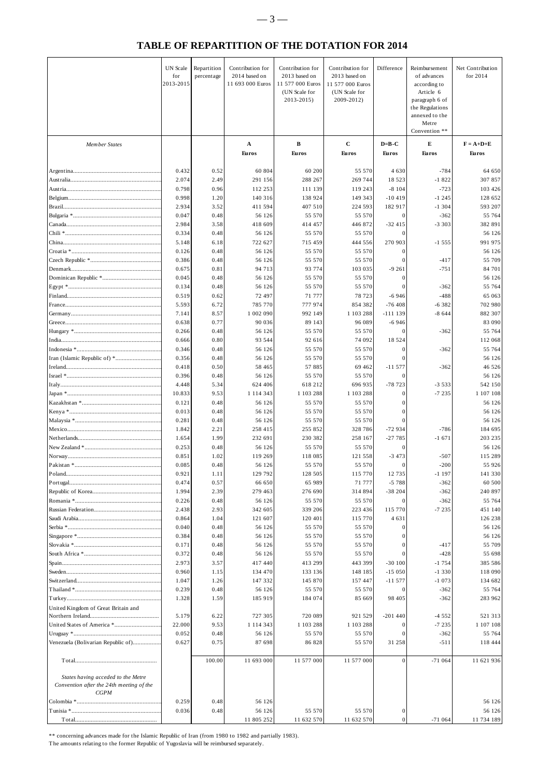# **TABLE OF REPARTITION OF THE DOTATION FOR 2014**

|                                                                                | UN Scale<br>for<br>2013-2015 | Repartition<br>percentage | Contribution for<br>2014 based on<br>11 693 000 Euros | Contribution for<br>2013 based on<br>11 577 000 Euros<br>(UN Scale for<br>2013-2015) | Contribution for<br>2013 based on<br>11 577 000 Euros<br>(UN Scale for<br>2009-2012) | Difference                            | Reimbursement<br>of advances<br>according to<br>Article 6<br>paragraph 6 of<br>the Regulations<br>annexed to the<br>Metre<br>Convention ** | Net Contribution<br>for 2014    |
|--------------------------------------------------------------------------------|------------------------------|---------------------------|-------------------------------------------------------|--------------------------------------------------------------------------------------|--------------------------------------------------------------------------------------|---------------------------------------|--------------------------------------------------------------------------------------------------------------------------------------------|---------------------------------|
| <b>Member States</b>                                                           |                              |                           | $\mathbf A$<br><b>Euros</b>                           | $\, {\bf B}$<br><b>Euros</b>                                                         | $\mathbf c$<br><b>Euros</b>                                                          | $D=B-C$<br>E<br><b>Euros</b><br>Euros |                                                                                                                                            | $F = A + D + E$<br><b>Euros</b> |
|                                                                                |                              |                           |                                                       |                                                                                      |                                                                                      |                                       |                                                                                                                                            |                                 |
|                                                                                | 0.432<br>2.074               | 0.52<br>2.49              | 60 804<br>291 156                                     | 60 200<br>288 267                                                                    | 55 570<br>269 744                                                                    | 4 6 3 0<br>18 5 23                    | $-784$<br>$-1822$                                                                                                                          | 64 650<br>307 857               |
|                                                                                | 0.798                        | 0.96                      | 112 253                                               | 111 139                                                                              | 119 243                                                                              | $-8104$                               | $-723$                                                                                                                                     | 103 426                         |
|                                                                                | 0.998                        | 1.20                      | 140 316                                               | 138 924                                                                              | 149 343                                                                              | $-10419$                              | $-1245$                                                                                                                                    | 128 652                         |
|                                                                                | 2.934                        | 3.52                      | 411 594                                               | 407 510                                                                              | 224 593                                                                              | 182 917                               | $-1304$                                                                                                                                    | 593 207                         |
|                                                                                | 0.047                        | 0.48                      | 56 126                                                | 55 570                                                                               | 55 570                                                                               | 0                                     | $-362$                                                                                                                                     | 55 764                          |
|                                                                                | 2.984                        | 3.58                      | 418 609                                               | 414 457                                                                              | 446 872                                                                              | $-32415$                              | $-3303$                                                                                                                                    | 382 891                         |
|                                                                                | 0.334                        | 0.48                      | 56 126                                                | 55 570                                                                               | 55 570                                                                               |                                       |                                                                                                                                            | 56 126                          |
|                                                                                | 5.148<br>0.126               | 6.18<br>0.48              | 722 627<br>56 126                                     | 715 459<br>55 570                                                                    | 444 556<br>55 570                                                                    | 270 903<br>0                          | $-1555$                                                                                                                                    | 991 975<br>56 126               |
|                                                                                | 0.386                        | 0.48                      | 56 126                                                | 55 570                                                                               | 55 570                                                                               | $\mathbf{0}$                          | $-417$                                                                                                                                     | 55 709                          |
|                                                                                | 0.675                        | 0.81                      | 94 713                                                | 93 774                                                                               | 103 035                                                                              | $-9261$                               | $-751$                                                                                                                                     | 84 701                          |
|                                                                                | 0.045                        | 0.48                      | 56 126                                                | 55 570                                                                               | 55 570                                                                               | $\mathbf{0}$                          |                                                                                                                                            | 56 126                          |
|                                                                                | 0.134                        | 0.48                      | 56 126                                                | 55 570                                                                               | 55 570                                                                               | $\Omega$                              | $-362$                                                                                                                                     | 55 764                          |
|                                                                                | 0.519                        | 0.62                      | 72 497                                                | 71 777                                                                               | 78 723                                                                               | $-6946$                               | $-488$                                                                                                                                     | 65 063                          |
|                                                                                | 5.593                        | 6.72                      | 785 770                                               | 777 974                                                                              | 854 382                                                                              | $-76408$                              | $-6382$                                                                                                                                    | 702 980                         |
|                                                                                | 7.141                        | 8.57                      | 1 002 090                                             | 992 149                                                                              | 1 103 288                                                                            | $-111139$                             | $-8644$                                                                                                                                    | 882 307                         |
|                                                                                | 0.638<br>0.266               | 0.77<br>0.48              | 90 036<br>56 126                                      | 89 143<br>55 570                                                                     | 96 089<br>55 570                                                                     | $-6946$<br>$\Omega$                   | $-362$                                                                                                                                     | 83 090<br>55 764                |
|                                                                                | 0.666                        | 0.80                      | 93 544                                                | 92 616                                                                               | 74 092                                                                               | 18 5 24                               |                                                                                                                                            | 112 068                         |
|                                                                                | 0.346                        | 0.48                      | 56 126                                                | 55 570                                                                               | 55 570                                                                               | 0                                     | $-362$                                                                                                                                     | 55 764                          |
|                                                                                | 0.356                        | 0.48                      | 56 126                                                | 55 570                                                                               | 55 570                                                                               |                                       |                                                                                                                                            | 56 126                          |
|                                                                                | 0.418                        | 0.50                      | 58 465                                                | 57885                                                                                | 69 4 62                                                                              | $-11577$                              | $-362$                                                                                                                                     | 46 526                          |
|                                                                                | 0.396                        | 0.48                      | 56 126                                                | 55 570                                                                               | 55 570                                                                               | $\Omega$                              |                                                                                                                                            | 56 126                          |
|                                                                                | 4.448                        | 5.34                      | 624 406                                               | 618 212                                                                              | 696 935                                                                              | $-78723$                              | $-3533$                                                                                                                                    | 542 150                         |
|                                                                                | 10.833                       | 9.53                      | 1 1 1 4 3 4 3                                         | 1 103 288                                                                            | 1 103 288                                                                            | $\mathbf{0}$                          | $-7235$                                                                                                                                    | 1 107 108                       |
|                                                                                | 0.121<br>0.013               | 0.48<br>0.48              | 56 126<br>56 126                                      | 55 570<br>55 570                                                                     | 55 570<br>55 570                                                                     | $\Omega$<br>$\Omega$                  |                                                                                                                                            | 56 126<br>56 126                |
|                                                                                | 0.281                        | 0.48                      | 56 126                                                | 55 570                                                                               | 55 570                                                                               | $\Omega$                              |                                                                                                                                            | 56 126                          |
|                                                                                | 1.842                        | 2.21                      | 258 415                                               | 255 852                                                                              | 328 786                                                                              | $-72934$                              | $-786$                                                                                                                                     | 184 695                         |
|                                                                                | 1.654                        | 1.99                      | 232 691                                               | 230 382                                                                              | 258 167                                                                              | $-27785$                              | $-1671$                                                                                                                                    | 203 235                         |
|                                                                                | 0.253                        | 0.48                      | 56 126                                                | 55 570                                                                               | 55 570                                                                               | $\Omega$                              |                                                                                                                                            | 56 126                          |
|                                                                                | 0.851                        | 1.02                      | 119 269                                               | 118 085                                                                              | 121 558                                                                              | $-3473$                               | $-507$                                                                                                                                     | 115 289                         |
|                                                                                | 0.085                        | 0.48                      | 56 126                                                | 55 570                                                                               | 55 570                                                                               | $\mathbf{0}$                          | $-200$                                                                                                                                     | 55 926                          |
| Poland                                                                         | 0.921                        | 1.11                      | 129 792                                               | 128 505                                                                              | 115 770                                                                              | 12 735                                | 1 1 9 7                                                                                                                                    | 141 330                         |
|                                                                                | 0.474<br>1.994               | 0.57<br>2.39              | 66 650<br>279 463                                     | 65 989<br>276 690                                                                    | 71 777<br>314 894                                                                    | $-5788$<br>$-38204$                   | $-362$<br>$-362$                                                                                                                           | 60 500<br>240 897               |
|                                                                                | 0.226                        | 0.48                      | 56 126                                                | 55 570                                                                               | 55 570                                                                               | 0                                     | $-362$                                                                                                                                     | 55 764                          |
|                                                                                | 2.438                        | 2.93                      | 342 605                                               | 339 206                                                                              | 223 436                                                                              | 115 770                               | $-7235$                                                                                                                                    | 451 140                         |
|                                                                                | 0.864                        | 1.04                      | 121 607                                               | 120 401                                                                              | 115 770                                                                              | 4 6 3 1                               |                                                                                                                                            | 126 238                         |
|                                                                                | 0.040                        | 0.48                      | 56 126                                                | 55 570                                                                               | 55 570                                                                               | $\mathbf{0}$                          |                                                                                                                                            | 56 126                          |
|                                                                                | 0.384                        | 0.48                      | 56 126                                                | 55 570                                                                               | 55 570                                                                               |                                       |                                                                                                                                            | 56 126                          |
|                                                                                | 0.171                        | 0.48                      | 56 126                                                | 55 570                                                                               | 55 570                                                                               | $\Omega$                              | $-417$                                                                                                                                     | 55 709                          |
|                                                                                | 0.372<br>2.973               | 0.48<br>3.57              | 56 126<br>417 440                                     | 55 570<br>413 299                                                                    | 55 570<br>443 399                                                                    | $-30100$                              | $-428$<br>$-1754$                                                                                                                          | 55 698<br>385 586               |
|                                                                                | 0.960                        | 1.15                      | 134 470                                               | 133 136                                                                              | 148 185                                                                              | $-15050$                              | $-1330$                                                                                                                                    | 118 090                         |
|                                                                                | 1.047                        | 1.26                      | 147 332                                               | 145 870                                                                              | 157 447                                                                              | $-11577$                              | $-1073$                                                                                                                                    | 134 682                         |
|                                                                                | 0.239                        | 0.48                      | 56 126                                                | 55 570                                                                               | 55 570                                                                               | 0                                     | $-362$                                                                                                                                     | 55 764                          |
|                                                                                | 1.328                        | 1.59                      | 185 919                                               | 184 074                                                                              | 85 669                                                                               | 98 405                                | $-362$                                                                                                                                     | 283 962                         |
| United Kingdom of Great Britain and                                            |                              |                           |                                                       |                                                                                      |                                                                                      |                                       |                                                                                                                                            |                                 |
|                                                                                | 5.179                        | 6.22                      | 727 305                                               | 720 089                                                                              | 921 529                                                                              | $-201440$                             | $-4552$                                                                                                                                    | 521 313                         |
| United States of America *                                                     | 22.000<br>0.052              | 9.53<br>0.48              | 1 1 1 4 3 4 3<br>56 126                               | 1 103 288<br>55 570                                                                  | 1 103 288<br>55 570                                                                  |                                       | $-7235$<br>$-362$                                                                                                                          | 1 107 108<br>55 764             |
| Venezuela (Bolivarian Republic of)                                             | 0.627                        | 0.75                      | 87 698                                                | 86 828                                                                               | 55 570                                                                               | 31 258                                | $-511$                                                                                                                                     | 118 444                         |
|                                                                                |                              | 100.00                    | 11 693 000                                            | 11 577 000                                                                           | 11 577 000                                                                           | $\mathbf{0}$                          | $-71064$                                                                                                                                   | 11 621 936                      |
| States having acceded to the Metre<br>Convention after the 24th meeting of the |                              |                           |                                                       |                                                                                      |                                                                                      |                                       |                                                                                                                                            |                                 |
| CGPM                                                                           |                              |                           |                                                       |                                                                                      |                                                                                      |                                       |                                                                                                                                            |                                 |
|                                                                                | 0.259<br>0.036               | 0.48<br>0.48              | 56 126<br>56 126                                      | 55 570                                                                               | 55 570                                                                               | $\boldsymbol{0}$                      |                                                                                                                                            | 56 126<br>56 126                |
|                                                                                |                              |                           | 11 805 252                                            | 11 632 570                                                                           | 11 632 570                                                                           | $\boldsymbol{0}$                      | $-71064$                                                                                                                                   | 11 734 189                      |

\*\* concerning advances made for the Islamic Republic of Iran (from 1980 to 1982 and partially 1983).

The amounts relating to the former Republic of Yugoslavia will be reimbursed separately.